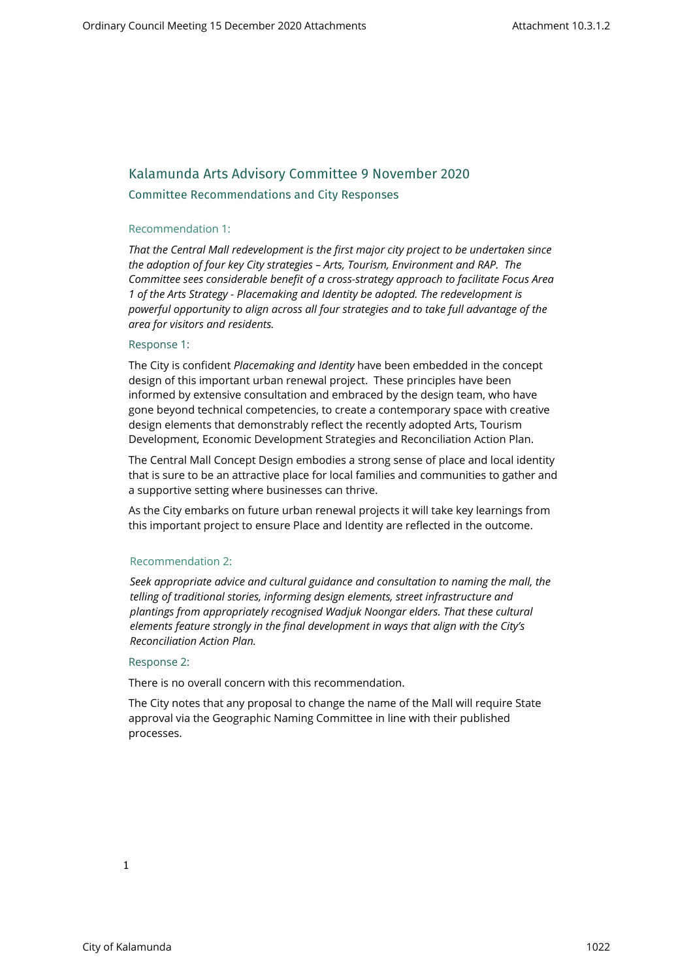# Kalamunda Arts Advisory Committee 9 November 2020

# Committee Recommendations and City Responses

### Recommendation 1:

*That the Central Mall redevelopment is the first major city project to be undertaken since the adoption of four key City strategies – Arts, Tourism, Environment and RAP. The Committee sees considerable benefit of a cross-strategy approach to facilitate Focus Area 1 of the Arts Strategy - Placemaking and Identity be adopted. The redevelopment is powerful opportunity to align across all four strategies and to take full advantage of the area for visitors and residents.*

### Response 1:

The City is confident *Placemaking and Identity* have been embedded in the concept design of this important urban renewal project. These principles have been informed by extensive consultation and embraced by the design team, who have gone beyond technical competencies, to create a contemporary space with creative design elements that demonstrably reflect the recently adopted Arts, Tourism Development, Economic Development Strategies and Reconciliation Action Plan.

The Central Mall Concept Design embodies a strong sense of place and local identity that is sure to be an attractive place for local families and communities to gather and a supportive setting where businesses can thrive.

As the City embarks on future urban renewal projects it will take key learnings from this important project to ensure Place and Identity are reflected in the outcome.

# Recommendation 2:

*Seek appropriate advice and cultural guidance and consultation to naming the mall, the telling of traditional stories, informing design elements, street infrastructure and plantings from appropriately recognised Wadjuk Noongar elders. That these cultural elements feature strongly in the final development in ways that align with the City's Reconciliation Action Plan.* 

### Response 2:

There is no overall concern with this recommendation.

The City notes that any proposal to change the name of the Mall will require State approval via the Geographic Naming Committee in line with their published processes.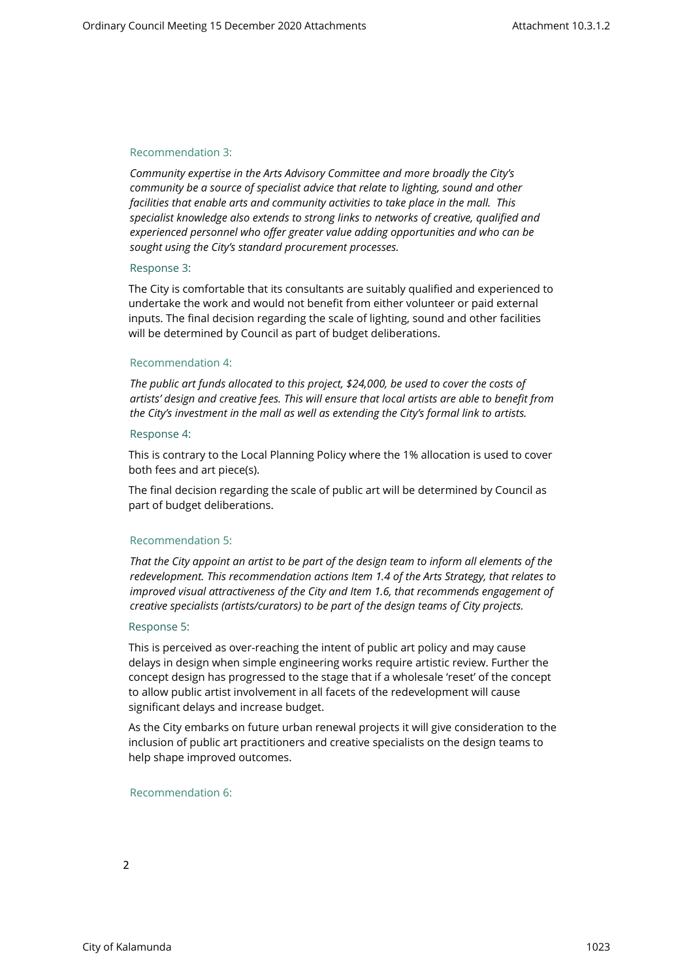# Recommendation 3:

*Community expertise in the Arts Advisory Committee and more broadly the City's community be a source of specialist advice that relate to lighting, sound and other facilities that enable arts and community activities to take place in the mall. This specialist knowledge also extends to strong links to networks of creative, qualified and experienced personnel who offer greater value adding opportunities and who can be sought using the City's standard procurement processes.*

# Response 3:

The City is comfortable that its consultants are suitably qualified and experienced to undertake the work and would not benefit from either volunteer or paid external inputs. The final decision regarding the scale of lighting, sound and other facilities will be determined by Council as part of budget deliberations.

### Recommendation 4:

*The public art funds allocated to this project, \$24,000, be used to cover the costs of artists' design and creative fees. This will ensure that local artists are able to benefit from the City's investment in the mall as well as extending the City's formal link to artists.* 

### Response 4:

This is contrary to the Local Planning Policy where the 1% allocation is used to cover both fees and art piece(s).

The final decision regarding the scale of public art will be determined by Council as part of budget deliberations.

# Recommendation 5:

*That the City appoint an artist to be part of the design team to inform all elements of the redevelopment. This recommendation actions Item 1.4 of the Arts Strategy, that relates to improved visual attractiveness of the City and Item 1.6, that recommends engagement of creative specialists (artists/curators) to be part of the design teams of City projects.* 

# Response 5:

This is perceived as over-reaching the intent of public art policy and may cause delays in design when simple engineering works require artistic review. Further the concept design has progressed to the stage that if a wholesale 'reset' of the concept to allow public artist involvement in all facets of the redevelopment will cause significant delays and increase budget.

As the City embarks on future urban renewal projects it will give consideration to the inclusion of public art practitioners and creative specialists on the design teams to help shape improved outcomes.

### Recommendation 6:

2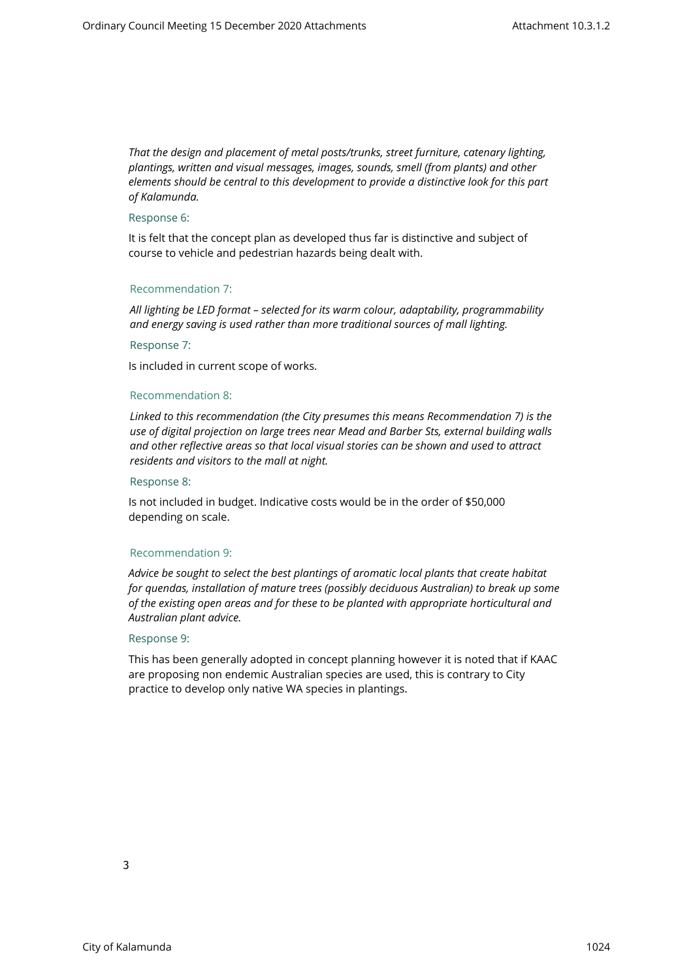*That the design and placement of metal posts/trunks, street furniture, catenary lighting, plantings, written and visual messages, images, sounds, smell (from plants) and other elements should be central to this development to provide a distinctive look for this part of Kalamunda.* 

### Response 6:

It is felt that the concept plan as developed thus far is distinctive and subject of course to vehicle and pedestrian hazards being dealt with.

### Recommendation 7:

*All lighting be LED format – selected for its warm colour, adaptability, programmability and energy saving is used rather than more traditional sources of mall lighting.* 

### Response 7:

Is included in current scope of works.

### Recommendation 8:

*Linked to this recommendation (the City presumes this means Recommendation 7) is the use of digital projection on large trees near Mead and Barber Sts, external building walls and other reflective areas so that local visual stories can be shown and used to attract residents and visitors to the mall at night.* 

# Response 8:

Is not included in budget. Indicative costs would be in the order of \$50,000 depending on scale.

### Recommendation 9:

*Advice be sought to select the best plantings of aromatic local plants that create habitat for quendas, installation of mature trees (possibly deciduous Australian) to break up some of the existing open areas and for these to be planted with appropriate horticultural and Australian plant advice.* 

### Response 9:

This has been generally adopted in concept planning however it is noted that if KAAC are proposing non endemic Australian species are used, this is contrary to City practice to develop only native WA species in plantings.